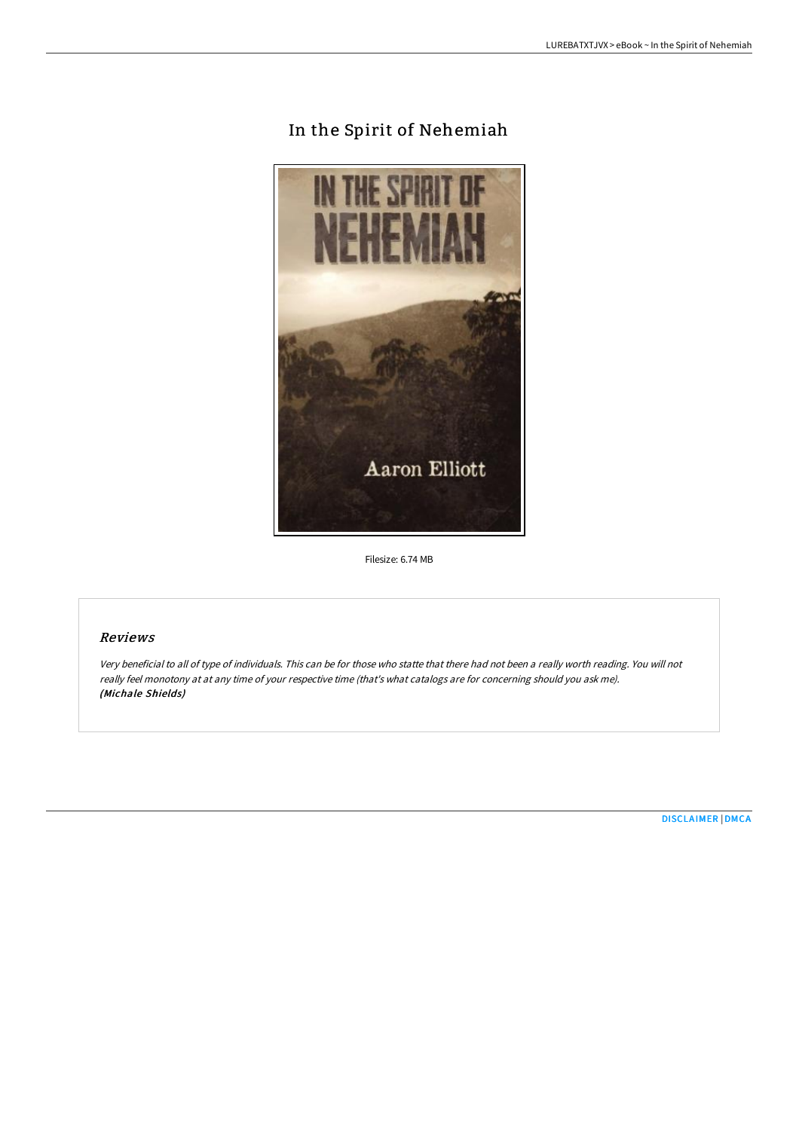# In the Spirit of Nehemiah



Filesize: 6.74 MB

## Reviews

Very beneficial to all of type of individuals. This can be for those who statte that there had not been <sup>a</sup> really worth reading. You will not really feel monotony at at any time of your respective time (that's what catalogs are for concerning should you ask me). (Michale Shields)

[DISCLAIMER](http://digilib.live/disclaimer.html) | [DMCA](http://digilib.live/dmca.html)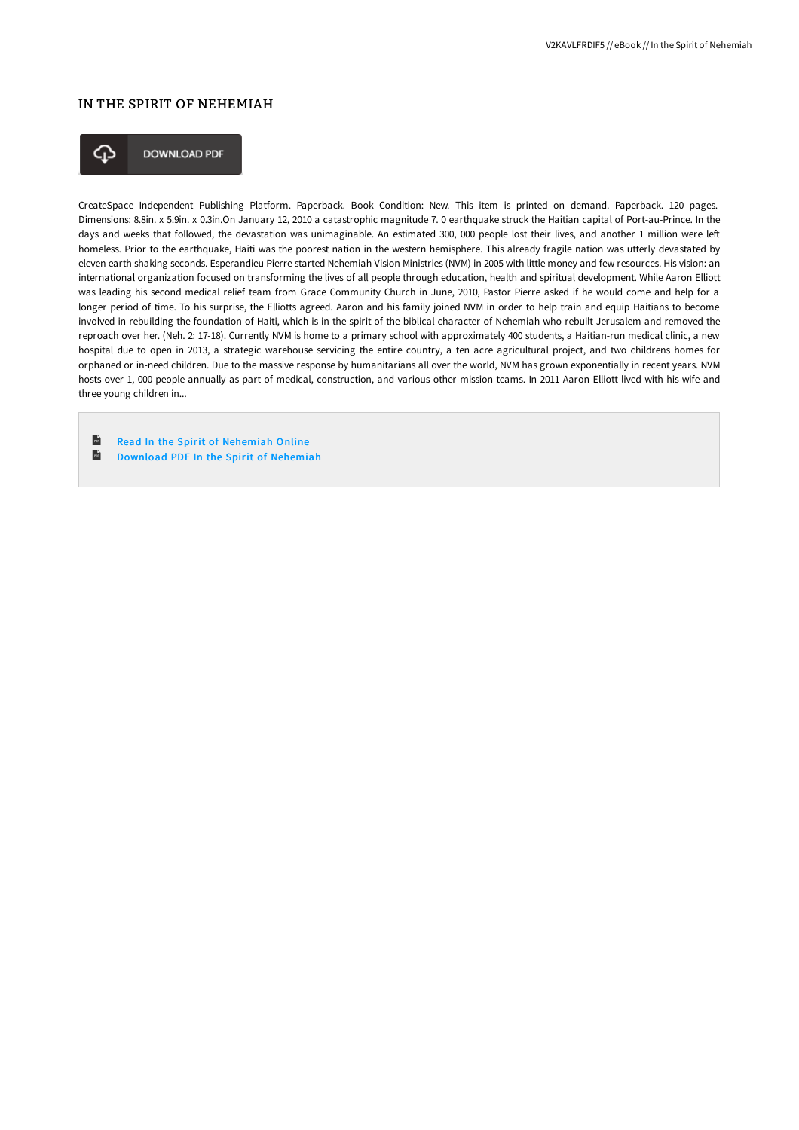# IN THE SPIRIT OF NEHEMIAH



**DOWNLOAD PDF** 

CreateSpace Independent Publishing Platform. Paperback. Book Condition: New. This item is printed on demand. Paperback. 120 pages. Dimensions: 8.8in. x 5.9in. x 0.3in.On January 12, 2010 a catastrophic magnitude 7. 0 earthquake struck the Haitian capital of Port-au-Prince. In the days and weeks that followed, the devastation was unimaginable. An estimated 300, 000 people lost their lives, and another 1 million were left homeless. Prior to the earthquake, Haiti was the poorest nation in the western hemisphere. This already fragile nation was utterly devastated by eleven earth shaking seconds. Esperandieu Pierre started Nehemiah Vision Ministries (NVM) in 2005 with little money and few resources. His vision: an international organization focused on transforming the lives of all people through education, health and spiritual development. While Aaron Elliott was leading his second medical relief team from Grace Community Church in June, 2010, Pastor Pierre asked if he would come and help for a longer period of time. To his surprise, the Elliotts agreed. Aaron and his family joined NVM in order to help train and equip Haitians to become involved in rebuilding the foundation of Haiti, which is in the spirit of the biblical character of Nehemiah who rebuilt Jerusalem and removed the reproach over her. (Neh. 2: 17-18). Currently NVM is home to a primary school with approximately 400 students, a Haitian-run medical clinic, a new hospital due to open in 2013, a strategic warehouse servicing the entire country, a ten acre agricultural project, and two childrens homes for orphaned or in-need children. Due to the massive response by humanitarians all over the world, NVM has grown exponentially in recent years. NVM hosts over 1, 000 people annually as part of medical, construction, and various other mission teams. In 2011 Aaron Elliott lived with his wife and three young children in...

 $\mathbf{r}$ Read In the Spirit of [Nehemiah](http://digilib.live/in-the-spirit-of-nehemiah.html) Online [Download](http://digilib.live/in-the-spirit-of-nehemiah.html) PDF In the Spirit of Nehemiah $\overline{\mathbf{m}}$